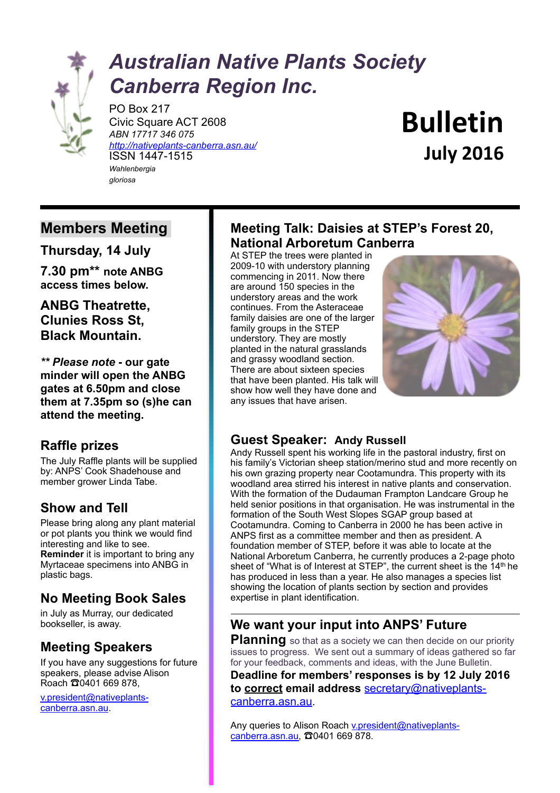

# *Australian Native Plants Society Canberra Region Inc.*

PO Box 217 Civic Square ACT 2608 *ABN 17717 346 075 <http://nativeplants-canberra.asn.au/>* ISSN 1447-1515 *Wahlenbergia gloriosa*

**Bulletin July 2016**

# **Members Meeting**

**Thursday, 14 July** 

**7.30 pm\*\* note ANBG access times below.**

**ANBG Theatrette, Clunies Ross St, Black Mountain.** 

*\*\* Please note* **- our gate minder will open the ANBG gates at 6.50pm and close them at 7.35pm so (s)he can attend the meeting.**

### **Raffle prizes**

The July Raffle plants will be supplied by: ANPS' Cook Shadehouse and member grower Linda Tabe.

# **Show and Tell**

Please bring along any plant material or pot plants you think we would find interesting and like to see. **Reminder** it is important to bring any Myrtaceae specimens into ANBG in plastic bags.

# **No Meeting Book Sales**

in July as Murray, our dedicated bookseller, is away.

### **Meeting Speakers**

If you have any suggestions for future speakers, please advise Alison Roach  $\Omega$ 0401 669 878.

v.president@nativeplantscanberra.asn.au.

# **Meeting Talk: Daisies at STEP's Forest 20, National Arboretum Canberra**

At STEP the trees were planted in 2009-10 with understory planning commencing in 2011. Now there are around 150 species in the understory areas and the work continues. From the Asteraceae family daisies are one of the larger family groups in the STEP understory. They are mostly planted in the natural grasslands and grassy woodland section. There are about sixteen species that have been planted. His talk will show how well they have done and any issues that have arisen.



### **Guest Speaker: Andy Russell**

Andy Russell spent his working life in the pastoral industry, first on his family's Victorian sheep station/merino stud and more recently on his own grazing property near Cootamundra. This property with its woodland area stirred his interest in native plants and conservation. With the formation of the Dudauman Frampton Landcare Group he held senior positions in that organisation. He was instrumental in the formation of the South West Slopes SGAP group based at Cootamundra. Coming to Canberra in 2000 he has been active in ANPS first as a committee member and then as president. A foundation member of STEP, before it was able to locate at the National Arboretum Canberra, he currently produces a 2-page photo sheet of "What is of Interest at STEP", the current sheet is the 14<sup>th</sup> he has produced in less than a year. He also manages a species list showing the location of plants section by section and provides expertise in plant identification.

# **We want your input into ANPS' Future**

**Planning** so that as a society we can then decide on our priority issues to progress. We sent out a summary of ideas gathered so far for your feedback, comments and ideas, with the June Bulletin.

**Deadline for members' responses is by 12 July 2016 to correct email address** secretary@nativeplantscanberra.asn.au.

Any queries to [Alison Roach v.president@nativeplants](mailto:v.president@nativeplants-canberra.asn.au)canberra.asn.au, ☎0401 669 878.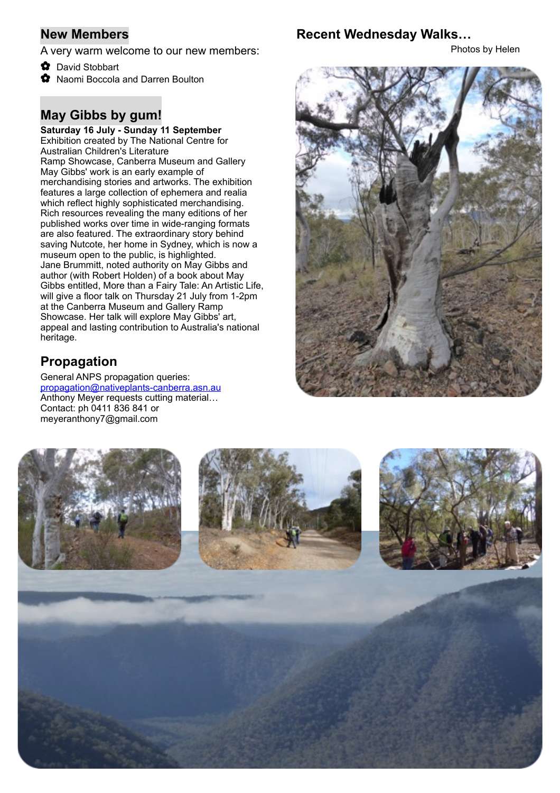### **New Members**

A very warm welcome to our new members:

- ✿ David Stobbart
- ✿ Naomi Boccola and Darren Boulton

# **May Gibbs by gum!**

**Saturday 16 July - Sunday 11 September**  Exhibition created by The National Centre for Australian Children's Literature Ramp Showcase, Canberra Museum and Gallery May Gibbs' work is an early example of merchandising stories and artworks. The exhibition features a large collection of ephemera and realia which reflect highly sophisticated merchandising. Rich resources revealing the many editions of her published works over time in wide-ranging formats are also featured. The extraordinary story behind saving Nutcote, her home in Sydney, which is now a museum open to the public, is highlighted. Jane Brummitt, noted authority on May Gibbs and author (with Robert Holden) of a book about May Gibbs entitled, More than a Fairy Tale: An Artistic Life, will give a floor talk on Thursday 21 July from 1-2pm at the Canberra Museum and Gallery Ramp Showcase. Her talk will explore May Gibbs' art, appeal and lasting contribution to Australia's national heritage.

# **Propagation**

General ANPS propagation queries: propagation@nativeplants-canberra.asn.au Anthony Meyer requests cutting material… Contact: ph 0411 836 841 or meyeranthony7@gmail.com

### **Recent Wednesday Walks…**

Photos by Helen



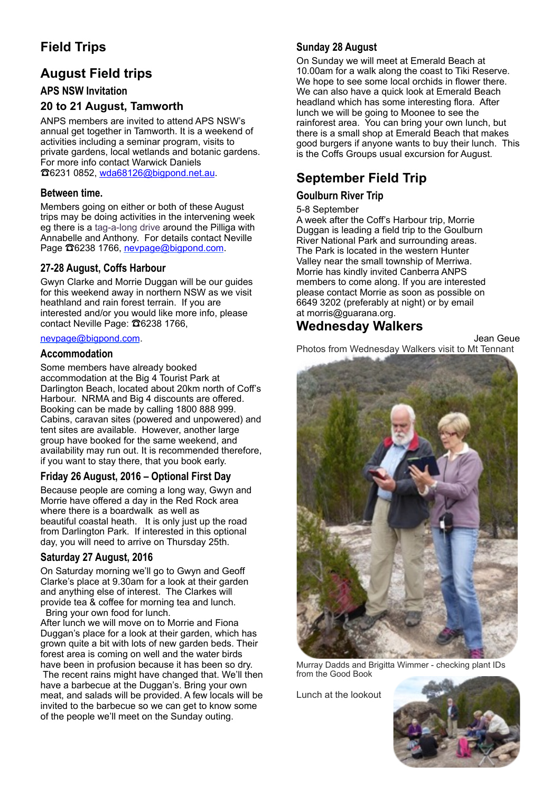# **Field Trips**

# **August Field trips**

### **APS NSW Invitation**

### **20 to 21 August, Tamworth**

ANPS members are invited to attend APS NSW's annual get together in Tamworth. It is a weekend of activities including a seminar program, visits to private gardens, local wetlands and botanic gardens. For more info contact Warwick Daniels ☎6231 0852, [wda68126@bigpond.net.au](mailto:wda68126@bigpond.net.au).

#### **Between time.**

Members going on either or both of these August trips may be doing activities in the intervening week eg there is a tag-a-long drive around the Pilliga with Annabelle and Anthony. For details contact Neville Page  $\Omega$ 6238 1766, [nevpage@bigpond.com](mailto:nevpage@bigpond.com).

### **27-28 August, Coffs Harbour**

Gwyn Clarke and Morrie Duggan will be our guides for this weekend away in northern NSW as we visit heathland and rain forest terrain. If you are interested and/or you would like more info, please contact Neville Page: ☎6238 1766,

#### [nevpage@bigpond.com](mailto:nevpage@bigpond.com).

#### **Accommodation**

Some members have already booked accommodation at the Big 4 Tourist Park at Darlington Beach, located about 20km north of Coff's Harbour. NRMA and Big 4 discounts are offered. Booking can be made by calling 1800 888 999. Cabins, caravan sites (powered and unpowered) and tent sites are available. However, another large group have booked for the same weekend, and availability may run out. It is recommended therefore, if you want to stay there, that you book early.

### **Friday 26 August, 2016 – Optional First Day**

Because people are coming a long way, Gwyn and Morrie have offered a day in the Red Rock area where there is a boardwalk as well as beautiful coastal heath. It is only just up the road from Darlington Park. If interested in this optional day, you will need to arrive on Thursday 25th.

### **Saturday 27 August, 2016**

On Saturday morning we'll go to Gwyn and Geoff Clarke's place at 9.30am for a look at their garden and anything else of interest. The Clarkes will provide tea & coffee for morning tea and lunch. Bring your own food for lunch.

After lunch we will move on to Morrie and Fiona Duggan's place for a look at their garden, which has grown quite a bit with lots of new garden beds. Their forest area is coming on well and the water birds have been in profusion because it has been so dry. The recent rains might have changed that. We'll then have a barbecue at the Duggan's. Bring your own meat, and salads will be provided. A few locals will be invited to the barbecue so we can get to know some of the people we'll meet on the Sunday outing.

### **Sunday 28 August**

On Sunday we will meet at Emerald Beach at 10.00am for a walk along the coast to Tiki Reserve. We hope to see some local orchids in flower there. We can also have a quick look at Emerald Beach headland which has some interesting flora. After lunch we will be going to Moonee to see the rainforest area. You can bring your own lunch, but there is a small shop at Emerald Beach that makes good burgers if anyone wants to buy their lunch. This is the Coffs Groups usual excursion for August.

### **September Field Trip**

### **Goulburn River Trip**

#### 5-8 September

A week after the Coff's Harbour trip, Morrie Duggan is leading a field trip to the Goulburn River National Park and surrounding areas. The Park is located in the western Hunter Valley near the small township of Merriwa. Morrie has kindly invited Canberra ANPS members to come along. If you are interested please contact Morrie as soon as possible on 6649 3202 (preferably at night) or by email at morris@guarana.org.

### **Wednesday Walkers**

Jean Geue Photos from Wednesday Walkers visit to Mt Tennant



Murray Dadds and Brigitta Wimmer - checking plant IDs from the Good Book

Lunch at the lookout